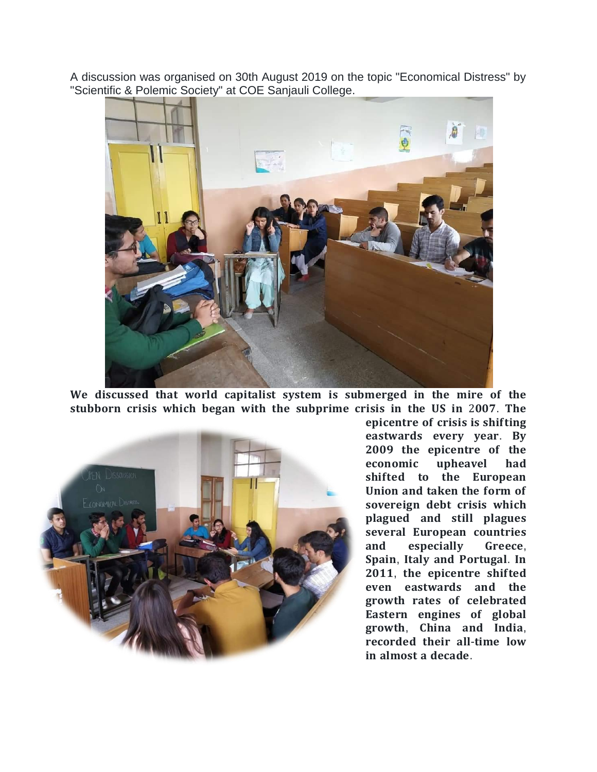A discussion was organised on 30th August 2019 on the topic "Economical Distress" by "Scientific & Polemic Society" at COE Sanjauli College.



We discussed that world capitalist system is submerged in the mire of the stubborn crisis which began with the subprime crisis in the US in 2007. The



epicentre of crisis is shifting eastwards every year. By 2009 the epicentre of the economic upheavel had shifted to the European Union and taken the form of sovereign debt crisis which plagued and still plagues several European countries and especially Greece, Spain, Italy and Portugal. In 2011, the epicentre shifted even eastwards and the growth rates of celebrated Eastern engines of global growth, China and India, recorded their all-time low in almost a decade.